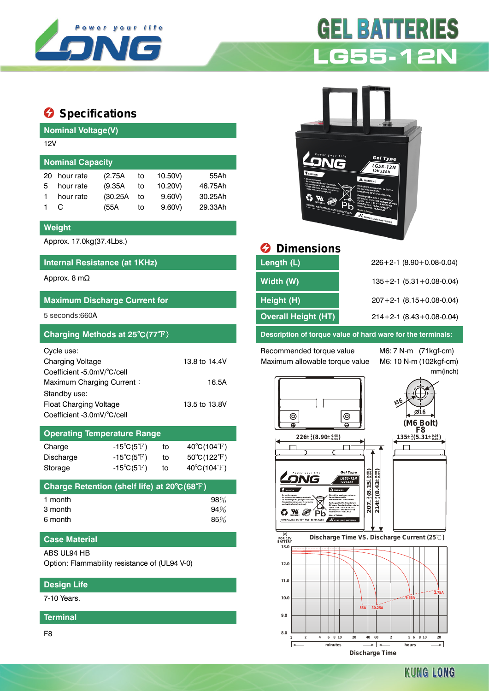

# **Specifications**

## **Nominal Voltage(V)** 12V **Nominal Capacity** 20 hour rate (2.75A to 10.50V) 55Ah 5 hour rate (9.35A to 10.20V) 46.75Ah 1 hour rate (30.25A to 9.60V) 30.25Ah 1 C (55A to 9.60V) 29.33Ah

#### **Weight**

Approx. 17.0kg(37.4Lbs.)

#### **Internal Resistance (at 1KHz)**

#### **Maximum Discharge Current for**

| Cycle use:                 |               |
|----------------------------|---------------|
| <b>Charging Voltage</b>    | 13.8 to 14.4V |
| Coefficient -5.0mV/°C/cell |               |
| Maximum Charging Current:  | 16.5A         |
| Standby use:               |               |
| Float Charging Voltage     | 13.5 to 13.8V |
| Coefficient -3.0mV/°C/cell |               |

### **Operating Temperature Range**

| Charge           | -15 $^{\circ}$ C(5 $^{\circ}$ F) | to | $40^{\circ}$ C(104 $^{\circ}$ F) |
|------------------|----------------------------------|----|----------------------------------|
| <b>Discharge</b> | $-15^{\circ}C(5^{\circ}F)$       | to | $50^{\circ}$ C(122 $^{\circ}$ F) |
| Storage          | $-15^{\circ}C(5^{\circ}F)$       | to | $40^{\circ}$ C(104 $^{\circ}$ F) |

| Charge Retention (shelf life) at 20°C(68°F) |        |
|---------------------------------------------|--------|
| 1 month                                     | $98\%$ |
| 3 month                                     | 94%    |
| 6 month                                     | 85%    |

#### **Case Material**

ABS UL94 HB

Option: Flammability resistance of (UL94 V-0)

#### **Design Life**

7-10 Years.

#### **Terminal**

F8

# **GEL BATTERIES LG55-12N**



# $\Theta$  Dimensions

| Internal Resistance (at 1KHz)        | Length (L)                 | $226+2-1$ (8.90 + 0.08 - 0.04)     |
|--------------------------------------|----------------------------|------------------------------------|
| Approx. 8 m $\Omega$                 | Width (W)                  | $135+2-1$ (5.31 + 0.08-0.04)       |
| <b>Maximum Discharge Current for</b> | Height (H)                 | $207 + 2 - 1$ (8.15 + 0.08 - 0.04) |
| 5 seconds:660A                       | <b>Overall Height (HT)</b> | $214+2-1$ (8.43+0.08-0.04)         |
|                                      |                            |                                    |

#### **Charging Methods at 25**℃**(77**℉) **Description of torque value of hard ware for the terminals:**

Recommended torque value M6: 7 N-m (71kgf-cm) Maximum allowable torque value M6: 10 N-m (102kgf-cm)

mm(inch)